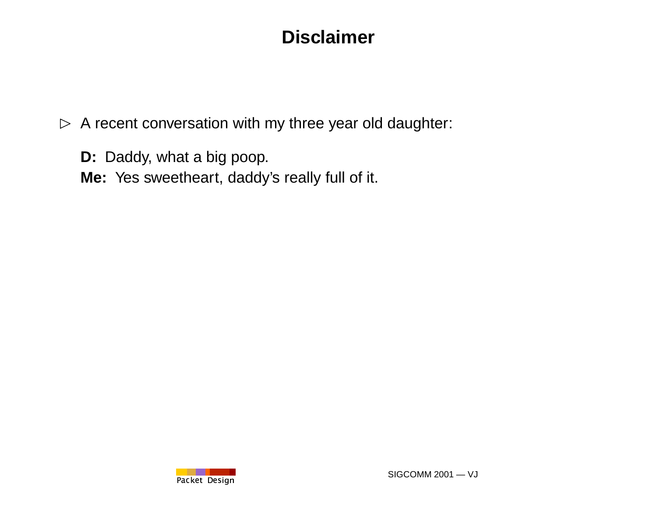# **Disclaimer**

- $\triangleright$  A recent conversation with my three year old daughter:
	- **D:** Daddy, what <sup>a</sup> big poop.
	- **Me:** Yes sweetheart, daddy's really full of it.

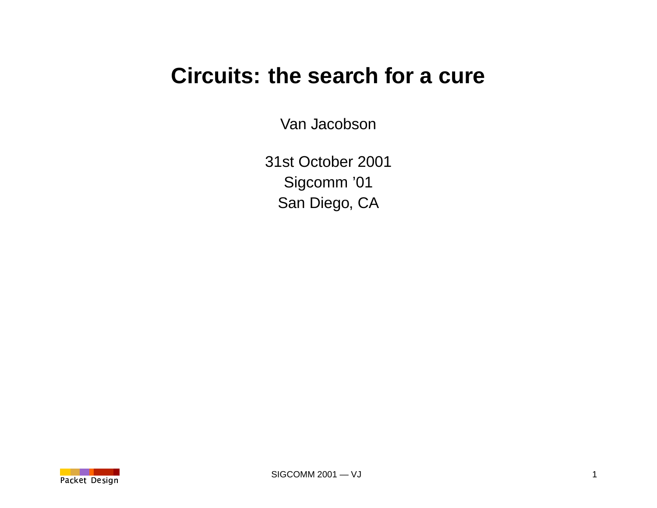# **Circuits: the search for a cure**

Van Jacobson

31st October 2001 Sigcomm '01 San Diego, CA

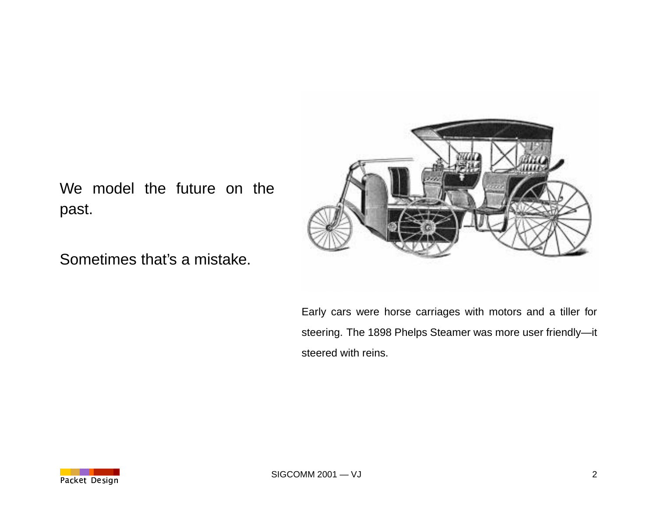

We model the future on the past.

Sometimes that's a mistake.

Early cars were horse carriages with motors and <sup>a</sup> tiller for steering. The 1898 Phelps Steamer was more user friendly—it steered with reins.

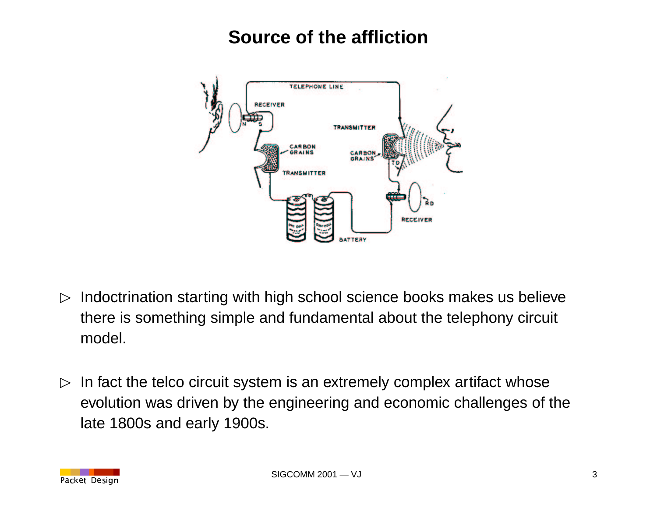#### **Source of the affliction**



- $\triangleright$  Indoctrination starting with high school science books makes us believe there is something simple and fundamental about the telephony circuit model.
- $\triangleright$  In fact the telco circuit system is an extremely complex artifact whose evolution was driven by the engineering and economic challenges of the late 1800s and early 1900s.

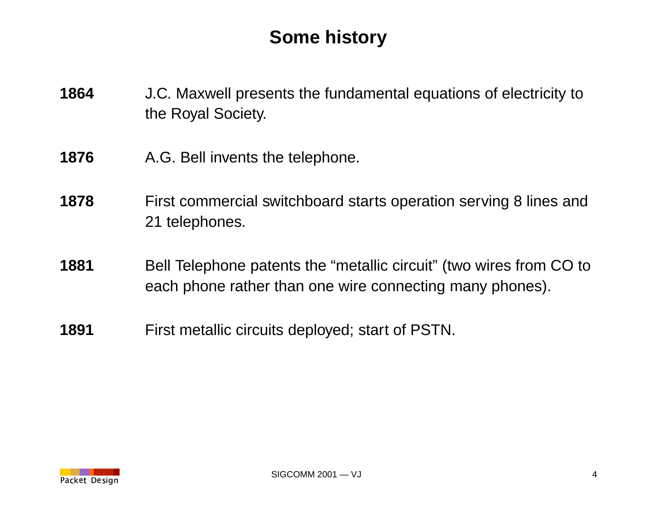# **Some history**

- **1864** J.C. Maxwell presents the fundamental equations of electricity to the Royal Society.
- **1876** A.G. Bell invents the telephone.
- **1878** First commercial switchboard starts operation serving 8 lines and 21 telephones.
- **1881** Bell Telephone patents the "metallic circuit" (two wires from CO to each phone rather than one wire connecting many phones).
- **1891** First metallic circuits deployed; start of PSTN.

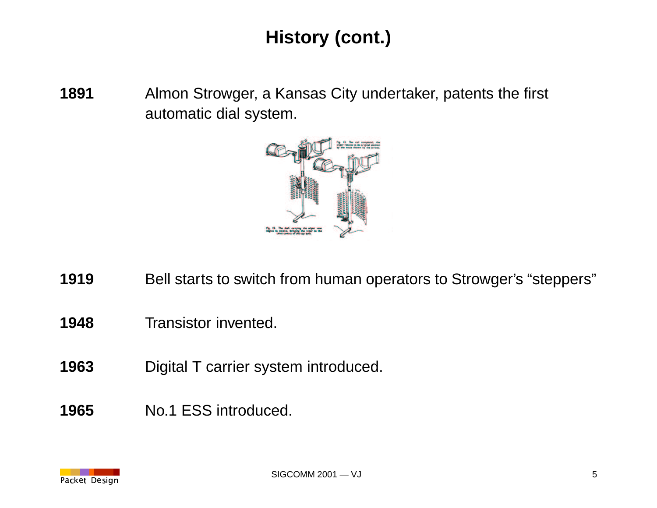# **History (cont.)**

 Almon Strowger, <sup>a</sup> Kansas City undertaker, patents the first automatic dial system.



- Bell starts to switch from human operators to Strowger's "steppers"
- Transistor invented.
- Digital T carrier system introduced.
- No.1 ESS introduced.

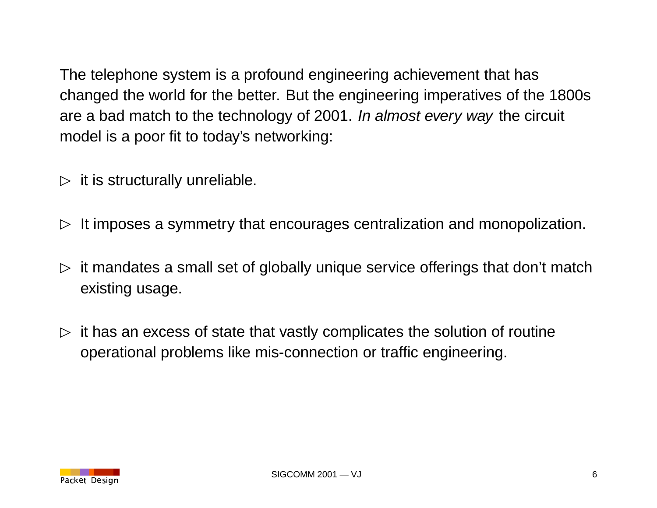The telephone system is <sup>a</sup> profound engineering achievement that has changed the world for the better. But the engineering imperatives of the 1800s are <sup>a</sup> bad match to the technology of 2001. In almost every way the circuit model is <sup>a</sup> poor fit to today's networking:

- $\triangleright$  it is structurally unreliable.
- $\triangleright$  It imposes a symmetry that encourages centralization and monopolization.
- $\triangleright$  it mandates a small set of globally unique service offerings that don't match existing usage.
- $\triangleright$  it has an excess of state that vastly complicates the solution of routine operational problems like mis-connection or traffic engineering.

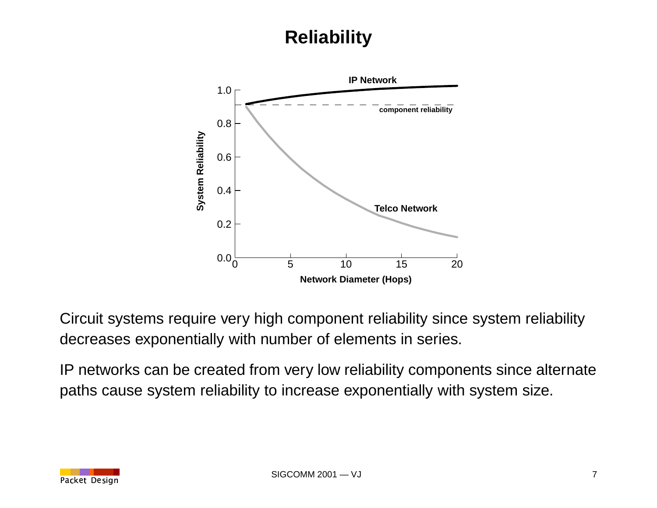# **Reliability**



Circuit systems require very high component reliability since system reliability decreases exponentially with number of elements in series.

IP networks can be created from very low reliability components since alternate paths cause system reliability to increase exponentially with system size.

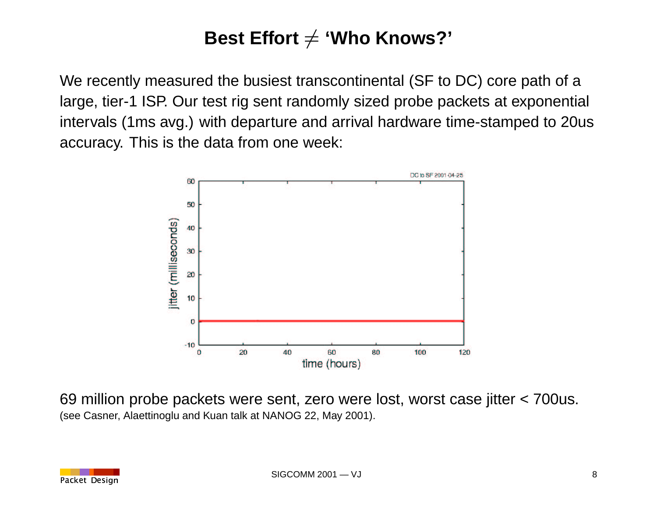#### **Best Effort 'Who Knows?'** -

We recently measured the busiest transcontinental (SF to DC) core path of <sup>a</sup> large, tier-1 ISP. Our test rig sent randomly sized probe packets at exponential intervals (1ms avg.) with departure and arrival hardware time-stamped to 20us accuracy. This is the data from one week:



69 million probe packets were sent, zero were lost, worst case jitter <sup>&</sup>lt; 700us. (see Casner, Alaettinoglu and Kuan talk at NANOG 22, May 2001).

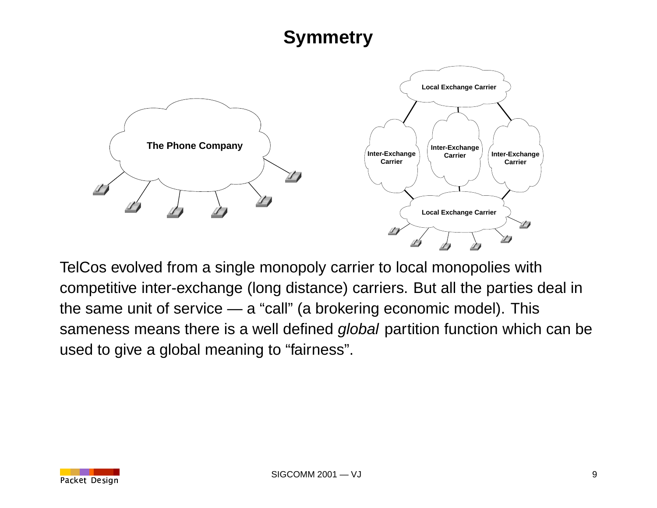## **Symmetry**



TelCos evolved from <sup>a</sup> single monopoly carrier to local monopolies with competitive inter-exchange (long distance) carriers. But all the parties deal in the same unit of service — <sup>a</sup> "call" (a brokering economic model). This sameness means there is a well defined global partition function which can be used to give <sup>a</sup> global meaning to "fairness".

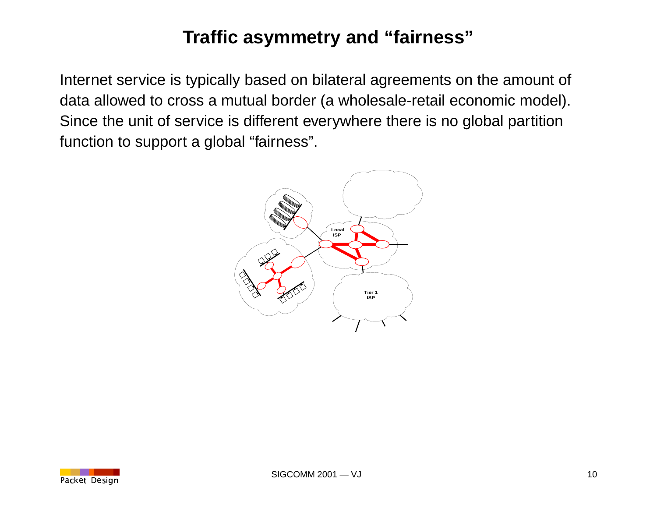# **Traffic asymmetry and "fairness"**

Internet service is typically based on bilateral agreements on the amount of data allowed to cross <sup>a</sup> mutual border (a wholesale-retail economic model). Since the unit of service is different everywhere there is no global partition function to support <sup>a</sup> global "fairness".



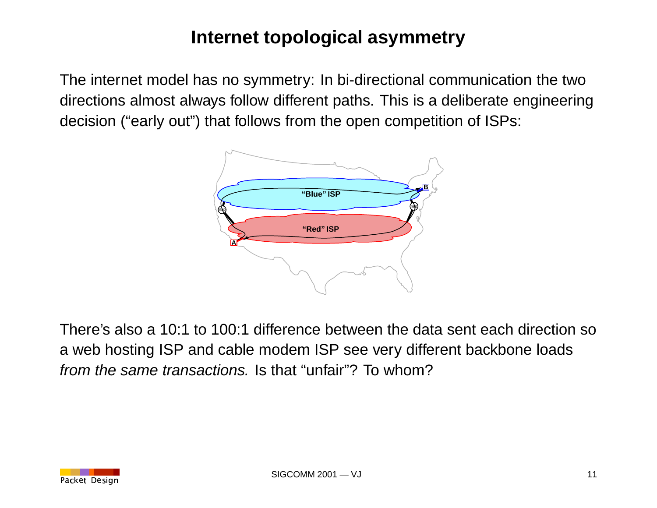# **Internet topological asymmetry**

The internet model has no symmetry: In bi-directional communication the two directions almost always follow different paths. This is <sup>a</sup> deliberate engineering decision ("early out") that follows from the open competition of ISPs:



There's also a 10:1 to 100:1 difference between the data sent each direction so <sup>a</sup> web hosting ISP and cable modem ISP see very different backbone loads from the same transactions. Is that "unfair"? To whom?

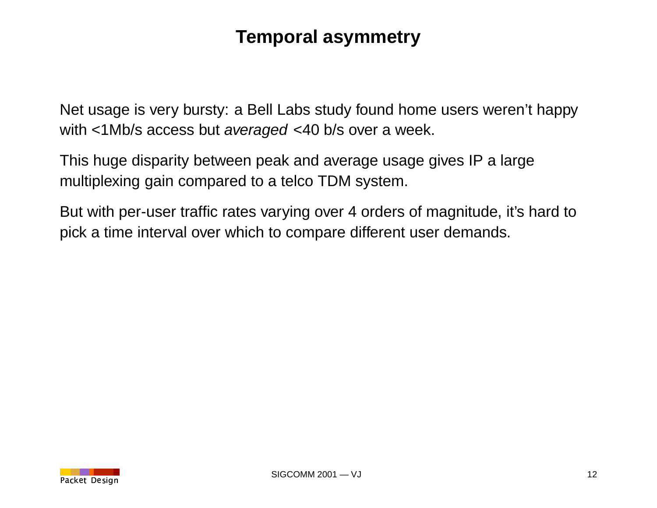#### **Temporal asymmetry**

Net usage is very bursty: <sup>a</sup> Bell Labs study found home users weren't happy with <1Mb/s access but averaged <40 b/s over <sup>a</sup> week.

This huge disparity between peak and average usage gives IP <sup>a</sup> large multiplexing gain compared to <sup>a</sup> telco TDM system.

But with per-user traffic rates varying over 4 orders of magnitude, it's hard to pick <sup>a</sup> time interval over which to compare different user demands.

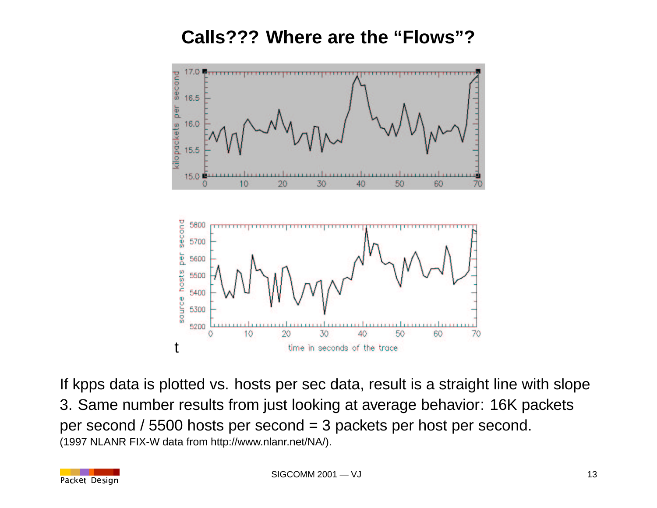#### **Calls??? Where are the "Flows"?**



If kpps data is plotted vs. hosts per sec data, result is <sup>a</sup> straight line with slope 3. Same number results from just looking at average behavior: 16K packets per second / 5500 hosts per second <sup>=</sup> 3 packets per host per second. (1997 NLANR FIX-W data from http://www.nlanr.net/NA/).

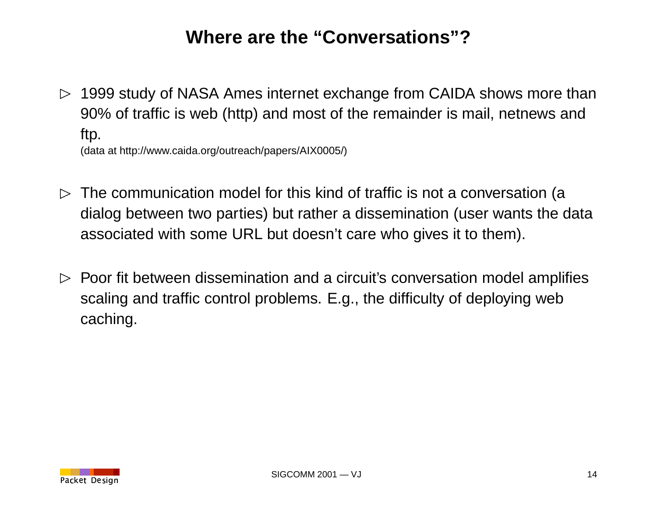## **Where are the "Conversations"?**

 $\triangleright$  1999 study of NASA Ames internet exchange from CAIDA shows more than 90% of traffic is web (http) and most of the remainder is mail, netnews and ftp. (data at http://www.caida.org/outreach/papers/AIX0005/)

 $\triangleright$  The communication model for this kind of traffic is not a conversation (a dialog between two parties) but rather <sup>a</sup> dissemination (user wants the data associated with some URL but doesn't care who gives it to them).

 $\triangleright$  Poor fit between dissemination and a circuit's conversation model amplifies scaling and traffic control problems. E.g., the difficulty of deploying web caching.

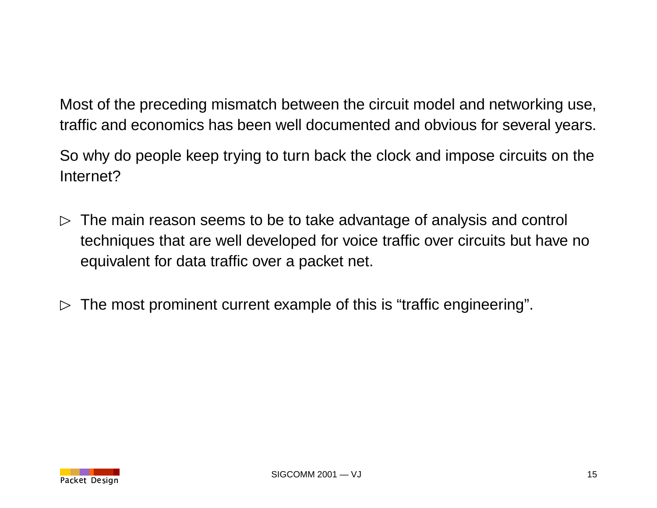Most of the preceding mismatch between the circuit model and networking use, traffic and economics has been well documented and obvious for several years.

So why do people keep trying to turn back the clock and impose circuits on the Internet?

- $\triangleright$  The main reason seems to be to take advantage of analysis and control techniques that are well developed for voice traffic over circuits but have no equivalent for data traffic over <sup>a</sup> packet net.
- $\triangleright$  The most prominent current example of this is "traffic engineering".

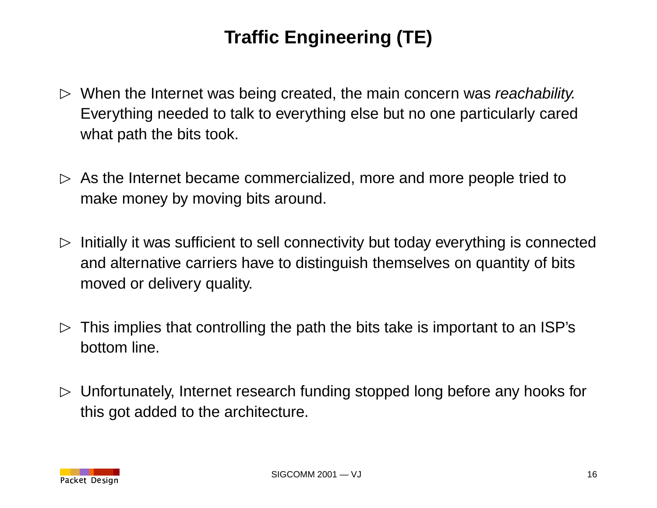# **Traffic Engineering (TE)**

- $\triangleright$  When the Internet was being created, the main concern was reachability. Everything needed to talk to everything else but no one particularly cared what path the bits took.
- $\triangleright$  As the Internet became commercialized, more and more people tried to make money by moving bits around.
- $\triangleright$  Initially it was sufficient to sell connectivity but today everything is connected and alternative carriers have to distinguish themselves on quantity of bits moved or delivery quality.
- $\triangleright$  This implies that controlling the path the bits take is important to an ISP's bottom line.
- $\triangleright$  Unfortunately, Internet research funding stopped long before any hooks for this got added to the architecture.

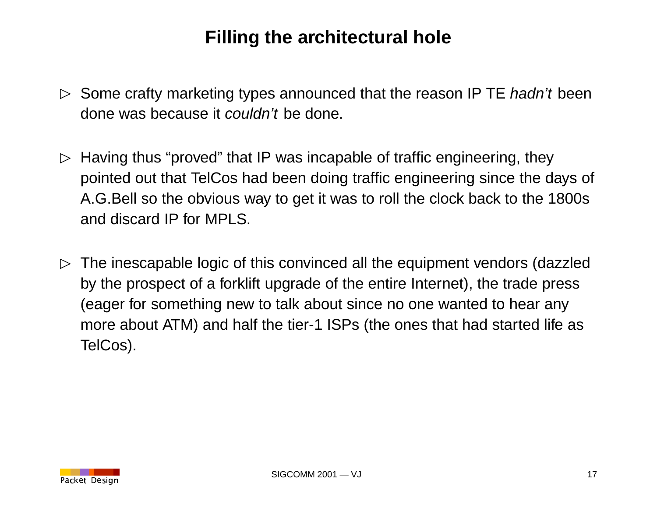## **Filling the architectural hole**

- $\triangleright$  Some crafty marketing types announced that the reason IP TE hadn't been done was because it couldn't be done.
- $\triangleright$  Having thus "proved" that IP was incapable of traffic engineering, they pointed out that TelCos had been doing traffic engineering since the days of A.G.Bell so the obvious way to get it was to roll the clock back to the 1800s and discard IP for MPLS.
- $\triangleright$  The inescapable logic of this convinced all the equipment vendors (dazzled by the prospect of <sup>a</sup> forklift upgrade of the entire Internet), the trade press (eager for something new to talk about since no one wanted to hear any more about ATM) and half the tier-1 ISPs (the ones that had started life as TelCos).

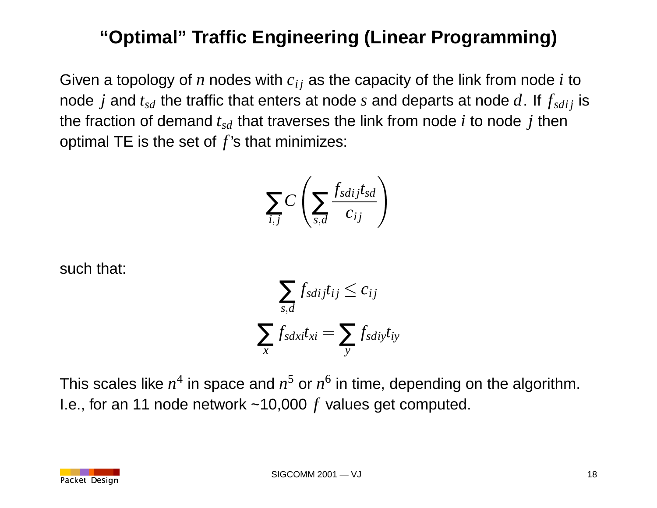# **"Optimal" Traffic Engineering (Linear Programming)**

Given a topology of *n* nodes with  $c_{ij}$  as the capacity of the link from node *i* to node *j* and  $t_{sd}$  the traffic that enters at node *s* and departs at node  $d$ . If  $f_{sdi}$  is the fraction of demand  $t_{sd}$  that traverses the link from node  $i$  to node  $j$  then optimal TE is the set of *f* 's that minimizes:

$$
\sum_{i,j} C\left(\sum_{s,d} \frac{f_{sdj}t_{sd}}{c_{ij}}\right)
$$

such that:

$$
\sum_{s,d} f_{sdiffij} t_{ij} \le c_{ij}
$$
\n
$$
\sum_{x} f_{sdxi} t_{xi} = \sum_{y} f_{sdiffij}
$$

This scales like  $n^4$  in space and  $n^5$  or  $n^6$  in time, depending on the algorithm. I.e., for an 11 node network ~10,000 *f* values get computed.

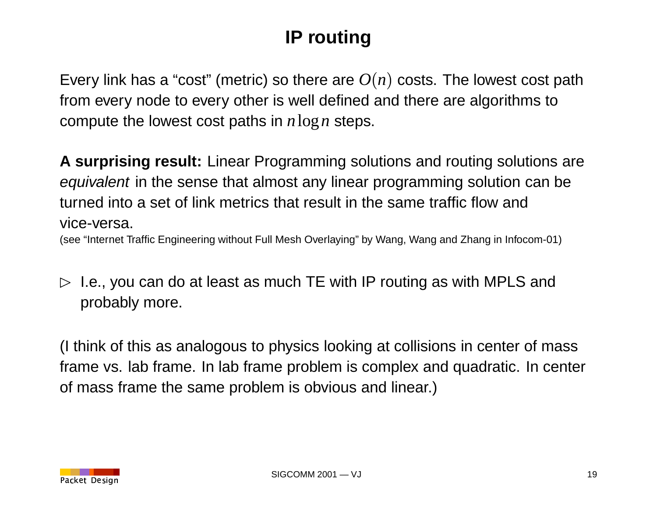# **IP routing**

Every link has a "cost" (metric) so there are  $O(n)$  costs. The lowest cost path from every node to every other is well defined and there are algorithms to compute the lowest cost paths in *<sup>n</sup>*log*<sup>n</sup>* steps.

**A surprising result:** Linear Programming solutions and routing solutions are equivalent in the sense that almost any linear programming solution can be turned into a set of link metrics that result in the same traffic flow and vice-versa.

(see "Internet Traffic Engineering without Full Mesh Overlaying" by Wang, Wang and Zhang in Infocom-01)

 $\triangleright$  I.e., you can do at least as much TE with IP routing as with MPLS and probably more.

(I think of this as analogous to physics looking at collisions in center of mass frame vs. lab frame. In lab frame problem is complex and quadratic. In center of mass frame the same problem is obvious and linear.)

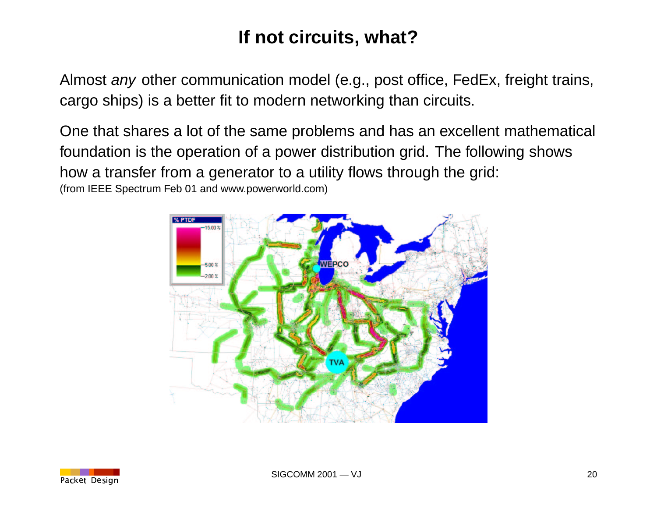# **If not circuits, what?**

Almost *any* other communication model (e.g., post office, FedEx, freight trains, cargo ships) is <sup>a</sup> better fit to modern networking than circuits.

One that shares <sup>a</sup> lot of the same problems and has an excellent mathematical foundation is the operation of <sup>a</sup> power distribution grid. The following shows how <sup>a</sup> transfer from <sup>a</sup> generator to <sup>a</sup> utility flows through the grid: (from IEEE Spectrum Feb 01 and www.powerworld.com)



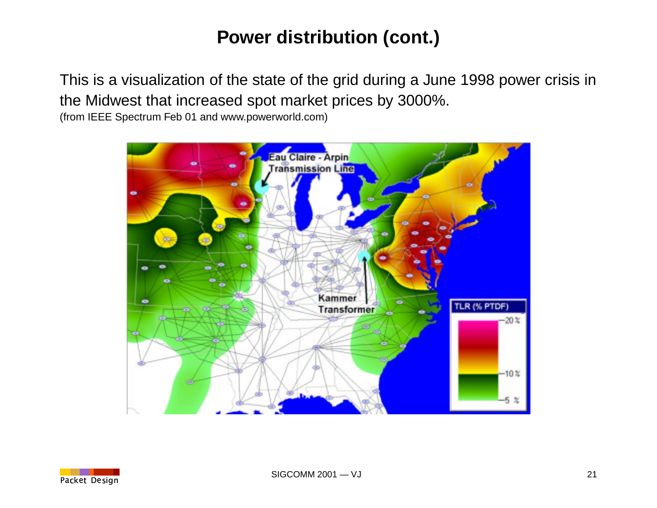# **Power distribution (cont.)**

This is <sup>a</sup> visualization of the state of the grid during <sup>a</sup> June 1998 power crisis in the Midwest that increased spot market prices by 3000%.

(from IEEE Spectrum Feb 01 and www.powerworld.com)



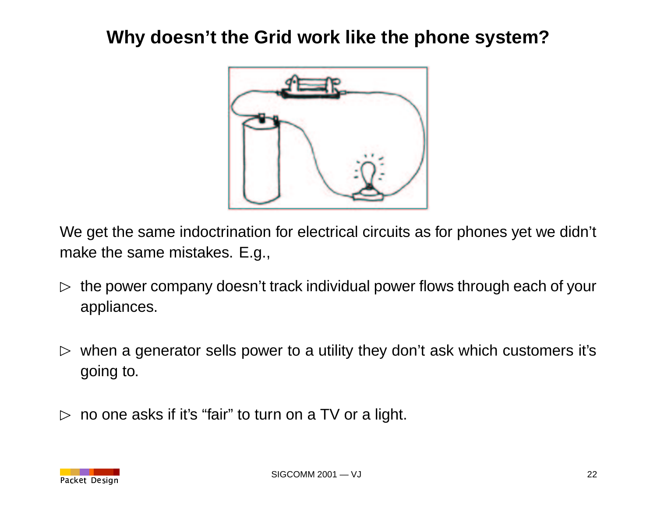### **Why doesn't the Grid work like the phone system?**



We get the same indoctrination for electrical circuits as for phones yet we didn't make the same mistakes. E.g.,

- $\triangleright$  the power company doesn't track individual power flows through each of your appliances.
- $\triangleright$  when a generator sells power to a utility they don't ask which customers it's going to.
- $\triangleright$  no one asks if it's "fair" to turn on a TV or a light.

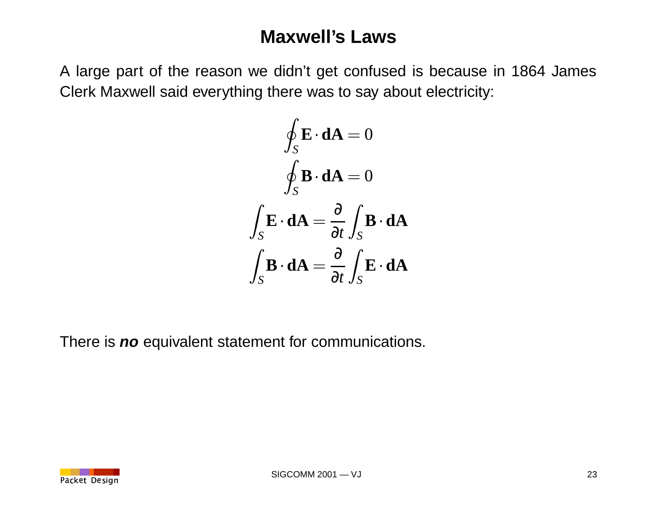#### **Maxwell's Laws**

A large part of the reason we didn't get confused is because in 1864 James Clerk Maxwell said everything there was to say about electricity:

$$
\oint_{S} \mathbf{E} \cdot d\mathbf{A} = 0
$$

$$
\oint_{S} \mathbf{B} \cdot d\mathbf{A} = 0
$$

$$
\int_{S} \mathbf{E} \cdot d\mathbf{A} = \frac{\partial}{\partial t} \int_{S} \mathbf{B} \cdot d\mathbf{A}
$$

$$
\int_{S} \mathbf{B} \cdot d\mathbf{A} = \frac{\partial}{\partial t} \int_{S} \mathbf{E} \cdot d\mathbf{A}
$$

There is **no** equivalent statement for communications.